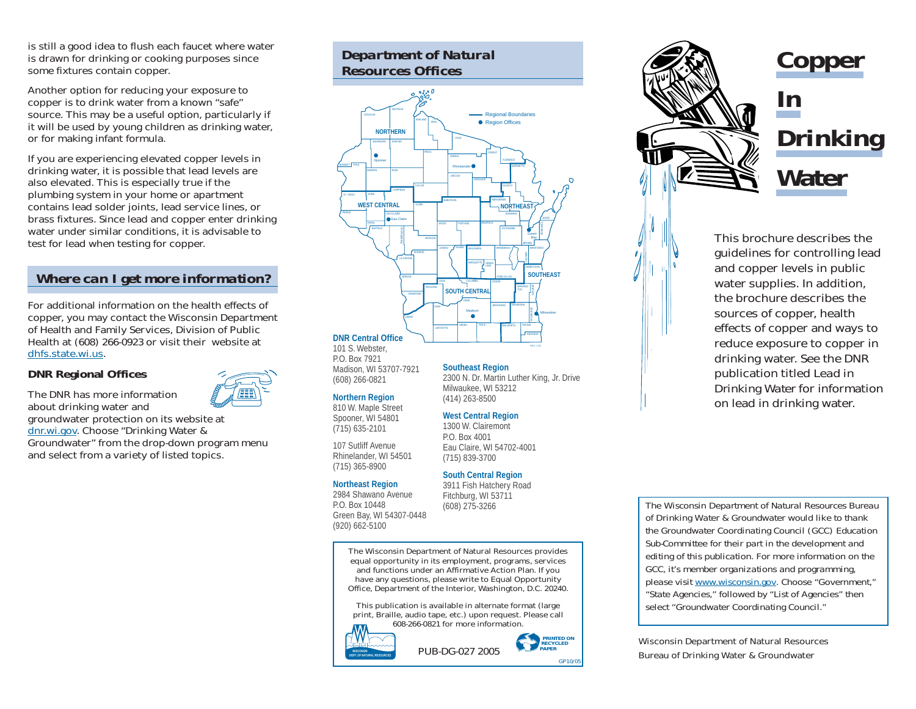is still a good idea to flush each faucet where water is drawn for drinking or cooking purposes since some fixtures contain copper.

Another option for reducing your exposure to copper is to drink water from a known "safe" source. This may be a useful option, particularly if it will be used by young children as drinking water, or for making infant formula.

If you are experiencing elevated copper levels in drinking water, it is possible that lead levels are also elevated. This is especially true if the plumbing system in your home or apartment contains lead solder joints, lead service lines, or brass fixtures. Since lead and copper enter drinking water under similar conditions, it is advisable to test for lead when testing for copper.

## *Where can I get more information?*

For additional information on the health effects of copper, you may contact the Wisconsin Department of Health and Family Services, Division of Public Health at (608) 266-0923 or visit their website at dhfs.state.wi.us.

### **DNR Regional Offices**

The DNR has more information about drinking water and groundwater protection on its website at dnr.wi.gov. Choose "Drinking Water & Groundwater" from the drop-down program menu and select from a variety of listed topics.

## *Department of Natural Resources Offices*



**DNR Central Office** 101 S. Webster, P.O. Box 7921

Madison, WI 53707-7921 (608) 266-0821

### **Northern Region**

810 W. Maple Street Spooner, WI 54801 (715) 635-2101

107 Sutliff Avenue Rhinelander, WI 54501 (715) 365-8900

### **Northeast Region**

2984 Shawano Avenue P.O. Box 10448 Green Bay, WI 54307-0448 (920) 662-5100

**Southeast Region** 2300 N. Dr. Martin Luther King, Jr. Drive Milwaukee, WI 53212 (414) 263-8500

### **West Central Region**

1300 W. Clairemont P.O. Box 4001 Eau Claire, WI 54702-4001 (715) 839-3700

### **South Central Region**

3911 Fish Hatchery Road Fitchburg, WI 53711 (608) 275-3266

The Wisconsin Department of Natural Resources provides equal opportunity in its employment, programs, services and functions under an Affirmative Action Plan. If you have any questions, please write to Equal Opportunity Office, Department of the Interior, Washington, D.C. 20240.

This publication is available in alternate format (large print, Braille, audio tape, etc.) upon request. Please call 608-266-0821 for more information.









This brochure describes the guidelines for controlling lead and copper levels in public water supplies. In addition, the brochure describes the sources of copper, health effects of copper and ways to reduce exposure to copper in drinking water. See the DNR publication titled *Lead in Drinking Water* for information on lead in drinking water.

*The Wisconsin Department of Natural Resources Bureau of Drinking Water & Groundwater would like to thank the Groundwater Coordinating Council (GCC) Education Sub-Committee for their part in the development and editing of this publication. For more information on the GCC, it's member organizations and programming, please visit www.wisconsin.gov. Choose "Government," "State Agencies," followed by "List of Agencies" then select "Groundwater Coordinating Council."*

Wisconsin Department of Natural Resources Bureau of Drinking Water & Groundwater